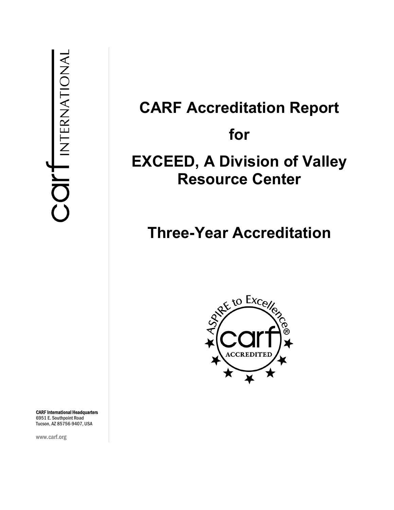# **CARF Accreditation Report for EXCEED, A Division of Valley Resource Center**

# **Three-Year Accreditation**



CARF International Headquarters 6951 E. Southpoint Road Tucson, AZ 85756-9407, USA

www.carf.org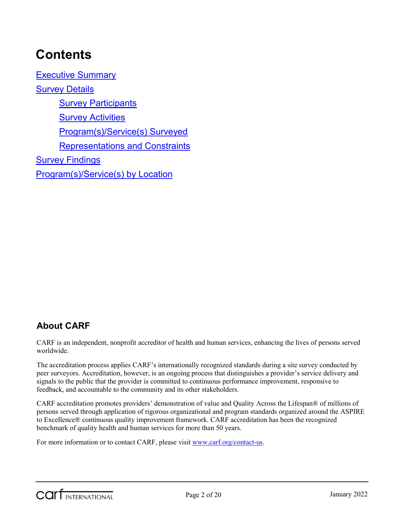## **Contents**

[Executive Summary](#page-3-0) [Survey Details](#page-4-0) **[Survey Participants](#page-4-1) [Survey Activities](#page-4-2)** [Program\(s\)/Service\(s\) Surveyed](#page-5-0) [Representations and Constraints](#page-5-1) **[Survey Findings](#page-5-2)** [Program\(s\)/Service\(s\) by Location](#page-19-0)

### **About CARF**

CARF is an independent, nonprofit accreditor of health and human services, enhancing the lives of persons served worldwide.

The accreditation process applies CARF's internationally recognized standards during a site survey conducted by peer surveyors. Accreditation, however, is an ongoing process that distinguishes a provider's service delivery and signals to the public that the provider is committed to continuous performance improvement, responsive to feedback, and accountable to the community and its other stakeholders.

CARF accreditation promotes providers' demonstration of value and Quality Across the Lifespan® of millions of persons served through application of rigorous organizational and program standards organized around the ASPIRE to Excellence® continuous quality improvement framework. CARF accreditation has been the recognized benchmark of quality health and human services for more than 50 years.

For more information or to contact CARF, please visit [www.carf.org/contact-us.](http://www.carf.org/contact-us)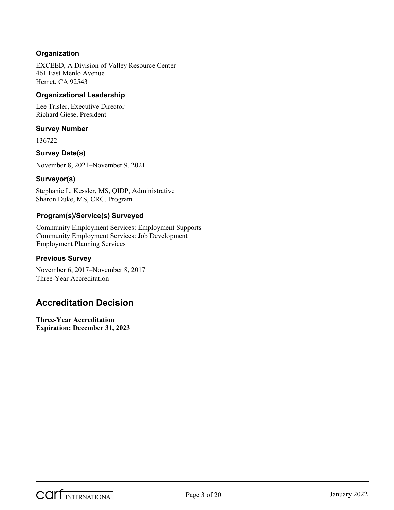#### **Organization**

EXCEED, A Division of Valley Resource Center 461 East Menlo Avenue Hemet, CA 92543

#### **Organizational Leadership**

Lee Trisler, Executive Director Richard Giese, President

#### **Survey Number**

136722

#### **Survey Date(s)**

November 8, 2021–November 9, 2021

#### **Surveyor(s)**

Stephanie L. Kessler, MS, QIDP, Administrative Sharon Duke, MS, CRC, Program

#### **Program(s)/Service(s) Surveyed**

Community Employment Services: Employment Supports Community Employment Services: Job Development Employment Planning Services

#### **Previous Survey**

November 6, 2017–November 8, 2017 Three-Year Accreditation

### **Accreditation Decision**

**Three-Year Accreditation Expiration: December 31, 2023**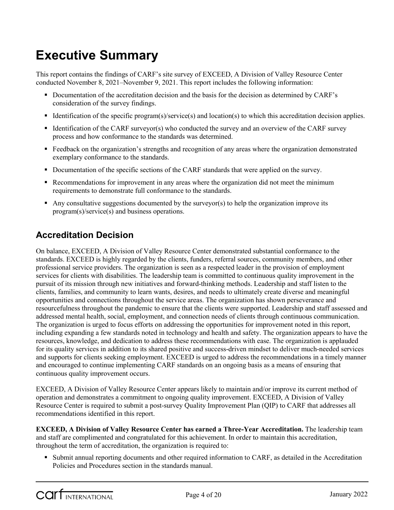## <span id="page-3-0"></span>**Executive Summary**

This report contains the findings of CARF's site survey of EXCEED, A Division of Valley Resource Center conducted November 8, 2021–November 9, 2021. This report includes the following information:

- Documentation of the accreditation decision and the basis for the decision as determined by CARF's consideration of the survey findings.
- Identification of the specific program(s)/service(s) and location(s) to which this accreditation decision applies.
- Identification of the CARF surveyor(s) who conducted the survey and an overview of the CARF survey process and how conformance to the standards was determined.
- **Feedback on the organization's strengths and recognition of any areas where the organization demonstrated** exemplary conformance to the standards.
- Documentation of the specific sections of the CARF standards that were applied on the survey.
- Recommendations for improvement in any areas where the organization did not meet the minimum requirements to demonstrate full conformance to the standards.
- Any consultative suggestions documented by the surveyor(s) to help the organization improve its program(s)/service(s) and business operations.

### **Accreditation Decision**

On balance, EXCEED, A Division of Valley Resource Center demonstrated substantial conformance to the standards. EXCEED is highly regarded by the clients, funders, referral sources, community members, and other professional service providers. The organization is seen as a respected leader in the provision of employment services for clients with disabilities. The leadership team is committed to continuous quality improvement in the pursuit of its mission through new initiatives and forward-thinking methods. Leadership and staff listen to the clients, families, and community to learn wants, desires, and needs to ultimately create diverse and meaningful opportunities and connections throughout the service areas. The organization has shown perseverance and resourcefulness throughout the pandemic to ensure that the clients were supported. Leadership and staff assessed and addressed mental health, social, employment, and connection needs of clients through continuous communication. The organization is urged to focus efforts on addressing the opportunities for improvement noted in this report, including expanding a few standards noted in technology and health and safety. The organization appears to have the resources, knowledge, and dedication to address these recommendations with ease. The organization is applauded for its quality services in addition to its shared positive and success-driven mindset to deliver much-needed services and supports for clients seeking employment. EXCEED is urged to address the recommendations in a timely manner and encouraged to continue implementing CARF standards on an ongoing basis as a means of ensuring that continuous quality improvement occurs.

EXCEED, A Division of Valley Resource Center appears likely to maintain and/or improve its current method of operation and demonstrates a commitment to ongoing quality improvement. EXCEED, A Division of Valley Resource Center is required to submit a post-survey Quality Improvement Plan (QIP) to CARF that addresses all recommendations identified in this report.

**EXCEED, A Division of Valley Resource Center has earned a Three-Year Accreditation.** The leadership team and staff are complimented and congratulated for this achievement. In order to maintain this accreditation, throughout the term of accreditation, the organization is required to:

 Submit annual reporting documents and other required information to CARF, as detailed in the Accreditation Policies and Procedures section in the standards manual.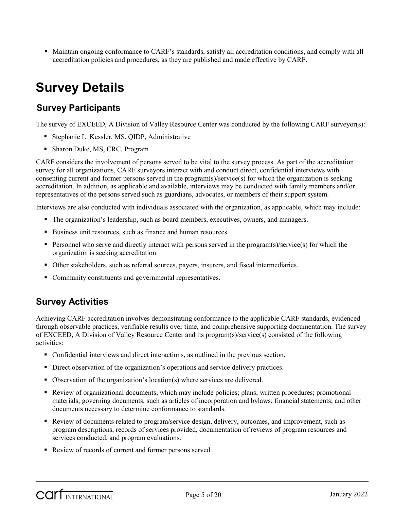Maintain ongoing conformance to CARF's standards, satisfy all accreditation conditions, and comply with all accreditation policies and procedures, as they are published and made effective by CARF.

## <span id="page-4-0"></span>**Survey Details**

### <span id="page-4-1"></span>**Survey Participants**

The survey of EXCEED, A Division of Valley Resource Center was conducted by the following CARF surveyor(s):

- Stephanie L. Kessler, MS, QIDP, Administrative
- Sharon Duke, MS, CRC, Program

CARF considers the involvement of persons served to be vital to the survey process. As part of the accreditation survey for all organizations, CARF surveyors interact with and conduct direct, confidential interviews with consenting current and former persons served in the program(s)/service(s) for which the organization is seeking accreditation. In addition, as applicable and available, interviews may be conducted with family members and/or representatives of the persons served such as guardians, advocates, or members of their support system.

Interviews are also conducted with individuals associated with the organization, as applicable, which may include:

- The organization's leadership, such as board members, executives, owners, and managers.
- Business unit resources, such as finance and human resources.
- **Personnel who serve and directly interact with persons served in the program(s)/service(s) for which the** organization is seeking accreditation.
- Other stakeholders, such as referral sources, payers, insurers, and fiscal intermediaries.
- Community constituents and governmental representatives.

### <span id="page-4-2"></span>**Survey Activities**

Achieving CARF accreditation involves demonstrating conformance to the applicable CARF standards, evidenced through observable practices, verifiable results over time, and comprehensive supporting documentation. The survey of EXCEED, A Division of Valley Resource Center and its program(s)/service(s) consisted of the following activities:

- Confidential interviews and direct interactions, as outlined in the previous section.
- Direct observation of the organization's operations and service delivery practices.
- Observation of the organization's location(s) where services are delivered.
- Review of organizational documents, which may include policies; plans; written procedures; promotional materials; governing documents, such as articles of incorporation and bylaws; financial statements; and other documents necessary to determine conformance to standards.
- Review of documents related to program/service design, delivery, outcomes, and improvement, such as program descriptions, records of services provided, documentation of reviews of program resources and services conducted, and program evaluations.
- Review of records of current and former persons served.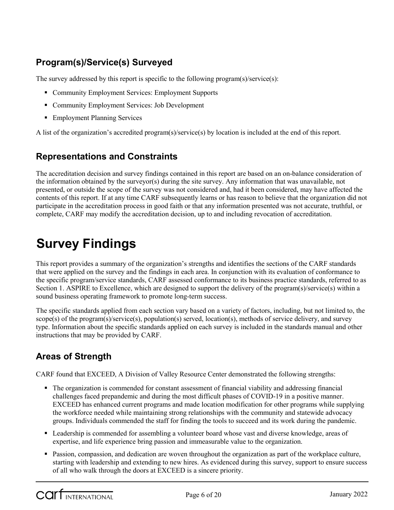### <span id="page-5-0"></span>**Program(s)/Service(s) Surveyed**

The survey addressed by this report is specific to the following program(s)/service(s):

- Community Employment Services: Employment Supports
- Community Employment Services: Job Development
- **Employment Planning Services**

A list of the organization's accredited program(s)/service(s) by location is included at the end of this report.

### <span id="page-5-1"></span>**Representations and Constraints**

The accreditation decision and survey findings contained in this report are based on an on-balance consideration of the information obtained by the surveyor(s) during the site survey. Any information that was unavailable, not presented, or outside the scope of the survey was not considered and, had it been considered, may have affected the contents of this report. If at any time CARF subsequently learns or has reason to believe that the organization did not participate in the accreditation process in good faith or that any information presented was not accurate, truthful, or complete, CARF may modify the accreditation decision, up to and including revocation of accreditation.

## <span id="page-5-2"></span>**Survey Findings**

This report provides a summary of the organization's strengths and identifies the sections of the CARF standards that were applied on the survey and the findings in each area. In conjunction with its evaluation of conformance to the specific program/service standards, CARF assessed conformance to its business practice standards, referred to as Section 1. ASPIRE to Excellence, which are designed to support the delivery of the program(s)/service(s) within a sound business operating framework to promote long-term success.

The specific standards applied from each section vary based on a variety of factors, including, but not limited to, the scope(s) of the program(s)/service(s), population(s) served, location(s), methods of service delivery, and survey type. Information about the specific standards applied on each survey is included in the standards manual and other instructions that may be provided by CARF.

### **Areas of Strength**

CARF found that EXCEED, A Division of Valley Resource Center demonstrated the following strengths:

- The organization is commended for constant assessment of financial viability and addressing financial challenges faced prepandemic and during the most difficult phases of COVID-19 in a positive manner. EXCEED has enhanced current programs and made location modification for other programs while supplying the workforce needed while maintaining strong relationships with the community and statewide advocacy groups. Individuals commended the staff for finding the tools to succeed and its work during the pandemic.
- Leadership is commended for assembling a volunteer board whose vast and diverse knowledge, areas of expertise, and life experience bring passion and immeasurable value to the organization.
- **Passion, compassion, and dedication are woven throughout the organization as part of the workplace culture,** starting with leadership and extending to new hires. As evidenced during this survey, support to ensure success of all who walk through the doors at EXCEED is a sincere priority.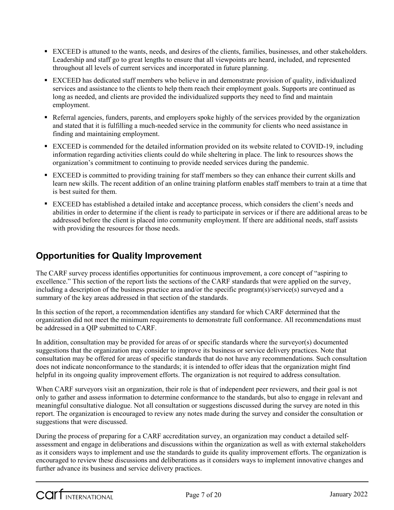- EXCEED is attuned to the wants, needs, and desires of the clients, families, businesses, and other stakeholders. Leadership and staff go to great lengths to ensure that all viewpoints are heard, included, and represented throughout all levels of current services and incorporated in future planning.
- EXCEED has dedicated staff members who believe in and demonstrate provision of quality, individualized services and assistance to the clients to help them reach their employment goals. Supports are continued as long as needed, and clients are provided the individualized supports they need to find and maintain employment.
- Referral agencies, funders, parents, and employers spoke highly of the services provided by the organization and stated that it is fulfilling a much-needed service in the community for clients who need assistance in finding and maintaining employment.
- EXCEED is commended for the detailed information provided on its website related to COVID-19, including information regarding activities clients could do while sheltering in place. The link to resources shows the organization's commitment to continuing to provide needed services during the pandemic.
- EXCEED is committed to providing training for staff members so they can enhance their current skills and learn new skills. The recent addition of an online training platform enables staff members to train at a time that is best suited for them.
- EXCEED has established a detailed intake and acceptance process, which considers the client's needs and abilities in order to determine if the client is ready to participate in services or if there are additional areas to be addressed before the client is placed into community employment. If there are additional needs, staff assists with providing the resources for those needs.

### **Opportunities for Quality Improvement**

The CARF survey process identifies opportunities for continuous improvement, a core concept of "aspiring to excellence." This section of the report lists the sections of the CARF standards that were applied on the survey, including a description of the business practice area and/or the specific program(s)/service(s) surveyed and a summary of the key areas addressed in that section of the standards.

In this section of the report, a recommendation identifies any standard for which CARF determined that the organization did not meet the minimum requirements to demonstrate full conformance. All recommendations must be addressed in a QIP submitted to CARF.

In addition, consultation may be provided for areas of or specific standards where the surveyor(s) documented suggestions that the organization may consider to improve its business or service delivery practices. Note that consultation may be offered for areas of specific standards that do not have any recommendations. Such consultation does not indicate nonconformance to the standards; it is intended to offer ideas that the organization might find helpful in its ongoing quality improvement efforts. The organization is not required to address consultation.

When CARF surveyors visit an organization, their role is that of independent peer reviewers, and their goal is not only to gather and assess information to determine conformance to the standards, but also to engage in relevant and meaningful consultative dialogue. Not all consultation or suggestions discussed during the survey are noted in this report. The organization is encouraged to review any notes made during the survey and consider the consultation or suggestions that were discussed.

During the process of preparing for a CARF accreditation survey, an organization may conduct a detailed selfassessment and engage in deliberations and discussions within the organization as well as with external stakeholders as it considers ways to implement and use the standards to guide its quality improvement efforts. The organization is encouraged to review these discussions and deliberations as it considers ways to implement innovative changes and further advance its business and service delivery practices.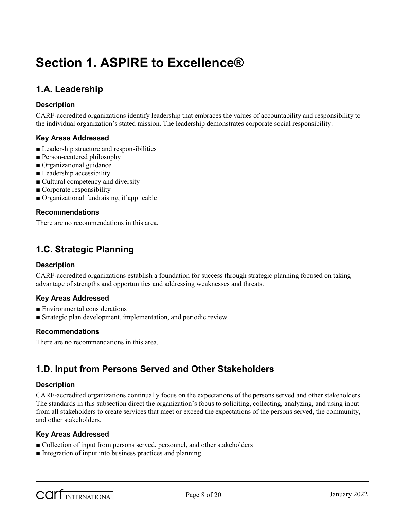## **Section 1. ASPIRE to Excellence®**

### **1.A. Leadership**

#### **Description**

CARF-accredited organizations identify leadership that embraces the values of accountability and responsibility to the individual organization's stated mission. The leadership demonstrates corporate social responsibility.

#### **Key Areas Addressed**

- Leadership structure and responsibilities
- Person-centered philosophy
- Organizational guidance
- Leadership accessibility
- Cultural competency and diversity
- Corporate responsibility
- Organizational fundraising, if applicable

#### **Recommendations**

There are no recommendations in this area.

### **1.C. Strategic Planning**

#### **Description**

CARF-accredited organizations establish a foundation for success through strategic planning focused on taking advantage of strengths and opportunities and addressing weaknesses and threats.

#### **Key Areas Addressed**

- Environmental considerations
- Strategic plan development, implementation, and periodic review

#### **Recommendations**

There are no recommendations in this area.

### **1.D. Input from Persons Served and Other Stakeholders**

#### **Description**

CARF-accredited organizations continually focus on the expectations of the persons served and other stakeholders. The standards in this subsection direct the organization's focus to soliciting, collecting, analyzing, and using input from all stakeholders to create services that meet or exceed the expectations of the persons served, the community, and other stakeholders.

#### **Key Areas Addressed**

- Collection of input from persons served, personnel, and other stakeholders
- Integration of input into business practices and planning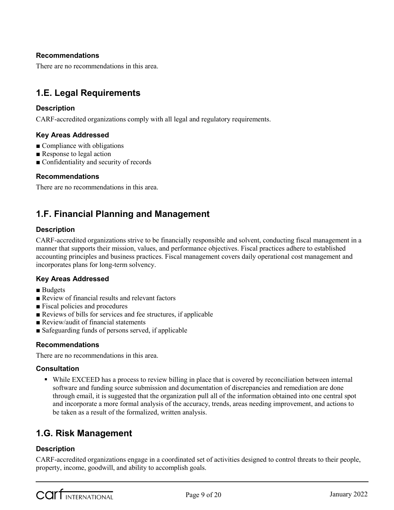#### **Recommendations**

There are no recommendations in this area.

### **1.E. Legal Requirements**

#### **Description**

CARF-accredited organizations comply with all legal and regulatory requirements.

#### **Key Areas Addressed**

- Compliance with obligations
- Response to legal action
- Confidentiality and security of records

#### **Recommendations**

There are no recommendations in this area.

### **1.F. Financial Planning and Management**

#### **Description**

CARF-accredited organizations strive to be financially responsible and solvent, conducting fiscal management in a manner that supports their mission, values, and performance objectives. Fiscal practices adhere to established accounting principles and business practices. Fiscal management covers daily operational cost management and incorporates plans for long-term solvency.

#### **Key Areas Addressed**

- Budgets
- Review of financial results and relevant factors
- Fiscal policies and procedures
- Reviews of bills for services and fee structures, if applicable
- Review/audit of financial statements
- Safeguarding funds of persons served, if applicable

#### **Recommendations**

There are no recommendations in this area.

#### **Consultation**

 While EXCEED has a process to review billing in place that is covered by reconciliation between internal software and funding source submission and documentation of discrepancies and remediation are done through email, it is suggested that the organization pull all of the information obtained into one central spot and incorporate a more formal analysis of the accuracy, trends, areas needing improvement, and actions to be taken as a result of the formalized, written analysis.

### **1.G. Risk Management**

#### **Description**

CARF-accredited organizations engage in a coordinated set of activities designed to control threats to their people, property, income, goodwill, and ability to accomplish goals.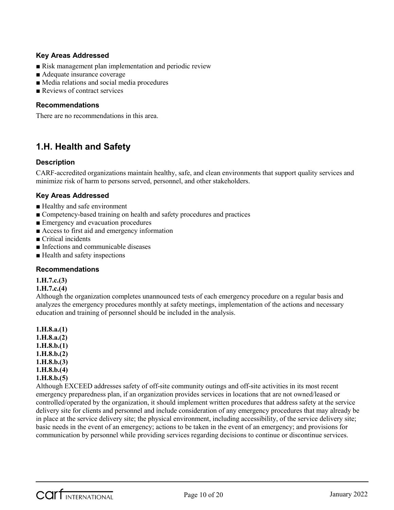#### **Key Areas Addressed**

- Risk management plan implementation and periodic review
- Adequate insurance coverage
- Media relations and social media procedures
- Reviews of contract services

#### **Recommendations**

There are no recommendations in this area.

### **1.H. Health and Safety**

#### **Description**

CARF-accredited organizations maintain healthy, safe, and clean environments that support quality services and minimize risk of harm to persons served, personnel, and other stakeholders.

#### **Key Areas Addressed**

- Healthy and safe environment
- Competency-based training on health and safety procedures and practices
- Emergency and evacuation procedures
- Access to first aid and emergency information
- Critical incidents
- Infections and communicable diseases
- Health and safety inspections

#### **Recommendations**

### **1.H.7.c.(3)**

#### **1.H.7.c.(4)**

Although the organization completes unannounced tests of each emergency procedure on a regular basis and analyzes the emergency procedures monthly at safety meetings, implementation of the actions and necessary education and training of personnel should be included in the analysis.

**1.H.8.a.(1) 1.H.8.a.(2) 1.H.8.b.(1) 1.H.8.b.(2) 1.H.8.b.(3) 1.H.8.b.(4) 1.H.8.b.(5)**

Although EXCEED addresses safety of off-site community outings and off-site activities in its most recent emergency preparedness plan, if an organization provides services in locations that are not owned/leased or controlled/operated by the organization, it should implement written procedures that address safety at the service delivery site for clients and personnel and include consideration of any emergency procedures that may already be in place at the service delivery site; the physical environment, including accessibility, of the service delivery site; basic needs in the event of an emergency; actions to be taken in the event of an emergency; and provisions for communication by personnel while providing services regarding decisions to continue or discontinue services.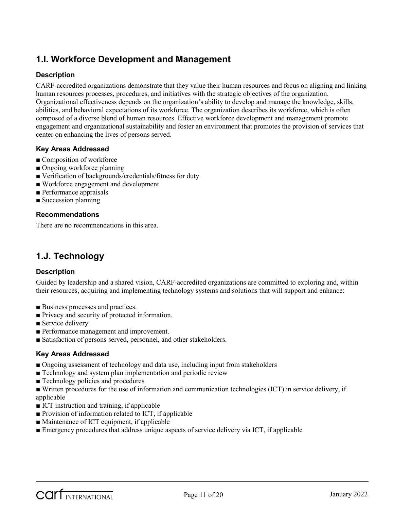### **1.I. Workforce Development and Management**

#### **Description**

CARF-accredited organizations demonstrate that they value their human resources and focus on aligning and linking human resources processes, procedures, and initiatives with the strategic objectives of the organization. Organizational effectiveness depends on the organization's ability to develop and manage the knowledge, skills, abilities, and behavioral expectations of its workforce. The organization describes its workforce, which is often composed of a diverse blend of human resources. Effective workforce development and management promote engagement and organizational sustainability and foster an environment that promotes the provision of services that center on enhancing the lives of persons served.

#### **Key Areas Addressed**

- Composition of workforce
- Ongoing workforce planning
- Verification of backgrounds/credentials/fitness for duty
- Workforce engagement and development
- Performance appraisals
- Succession planning

#### **Recommendations**

There are no recommendations in this area.

### **1.J. Technology**

#### **Description**

Guided by leadership and a shared vision, CARF-accredited organizations are committed to exploring and, within their resources, acquiring and implementing technology systems and solutions that will support and enhance:

- Business processes and practices.
- Privacy and security of protected information.
- Service delivery.
- Performance management and improvement.
- Satisfaction of persons served, personnel, and other stakeholders.

#### **Key Areas Addressed**

- Ongoing assessment of technology and data use, including input from stakeholders
- Technology and system plan implementation and periodic review
- Technology policies and procedures
- Written procedures for the use of information and communication technologies (ICT) in service delivery, if applicable
- ICT instruction and training, if applicable
- Provision of information related to ICT, if applicable
- Maintenance of ICT equipment, if applicable
- Emergency procedures that address unique aspects of service delivery via ICT, if applicable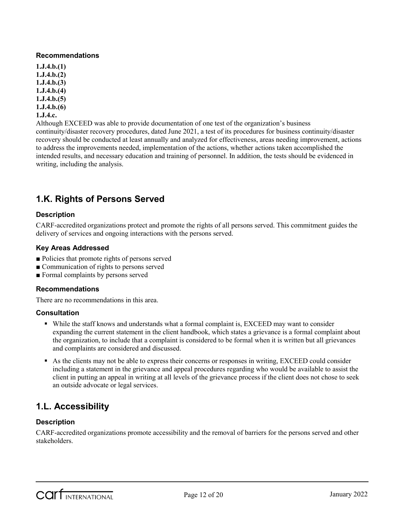#### **Recommendations**

**1.J.4.b.(1) 1.J.4.b.(2) 1.J.4.b.(3) 1.J.4.b.(4) 1.J.4.b.(5) 1.J.4.b.(6) 1.J.4.c.**

Although EXCEED was able to provide documentation of one test of the organization's business continuity/disaster recovery procedures, dated June 2021, a test of its procedures for business continuity/disaster recovery should be conducted at least annually and analyzed for effectiveness, areas needing improvement, actions to address the improvements needed, implementation of the actions, whether actions taken accomplished the intended results, and necessary education and training of personnel. In addition, the tests should be evidenced in writing, including the analysis.

### **1.K. Rights of Persons Served**

#### **Description**

CARF-accredited organizations protect and promote the rights of all persons served. This commitment guides the delivery of services and ongoing interactions with the persons served.

#### **Key Areas Addressed**

- Policies that promote rights of persons served
- Communication of rights to persons served
- Formal complaints by persons served

#### **Recommendations**

There are no recommendations in this area.

#### **Consultation**

- While the staff knows and understands what a formal complaint is, EXCEED may want to consider expanding the current statement in the client handbook, which states a grievance is a formal complaint about the organization, to include that a complaint is considered to be formal when it is written but all grievances and complaints are considered and discussed.
- As the clients may not be able to express their concerns or responses in writing, EXCEED could consider including a statement in the grievance and appeal procedures regarding who would be available to assist the client in putting an appeal in writing at all levels of the grievance process if the client does not chose to seek an outside advocate or legal services.

### **1.L. Accessibility**

#### **Description**

CARF-accredited organizations promote accessibility and the removal of barriers for the persons served and other stakeholders.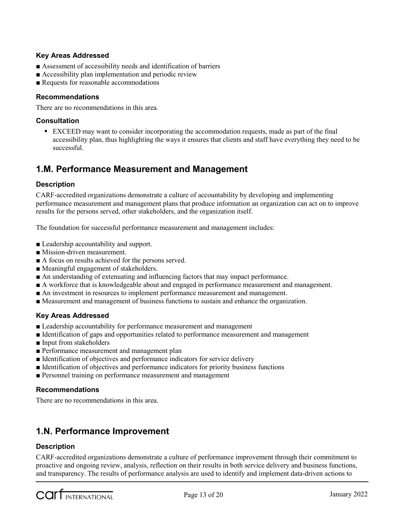#### **Key Areas Addressed**

- Assessment of accessibility needs and identification of barriers
- Accessibility plan implementation and periodic review
- Requests for reasonable accommodations

#### **Recommendations**

There are no recommendations in this area.

#### **Consultation**

 EXCEED may want to consider incorporating the accommodation requests, made as part of the final accessibility plan, thus highlighting the ways it ensures that clients and staff have everything they need to be successful.

### **1.M. Performance Measurement and Management**

#### **Description**

CARF-accredited organizations demonstrate a culture of accountability by developing and implementing performance measurement and management plans that produce information an organization can act on to improve results for the persons served, other stakeholders, and the organization itself.

The foundation for successful performance measurement and management includes:

- Leadership accountability and support.
- Mission-driven measurement.
- A focus on results achieved for the persons served.
- Meaningful engagement of stakeholders.
- An understanding of extenuating and influencing factors that may impact performance.
- A workforce that is knowledgeable about and engaged in performance measurement and management.
- An investment in resources to implement performance measurement and management.
- Measurement and management of business functions to sustain and enhance the organization.

#### **Key Areas Addressed**

- Leadership accountability for performance measurement and management
- Identification of gaps and opportunities related to performance measurement and management
- Input from stakeholders
- Performance measurement and management plan
- Identification of objectives and performance indicators for service delivery
- Identification of objectives and performance indicators for priority business functions
- Personnel training on performance measurement and management

#### **Recommendations**

There are no recommendations in this area.

### **1.N. Performance Improvement**

#### **Description**

CARF-accredited organizations demonstrate a culture of performance improvement through their commitment to proactive and ongoing review, analysis, reflection on their results in both service delivery and business functions, and transparency. The results of performance analysis are used to identify and implement data-driven actions to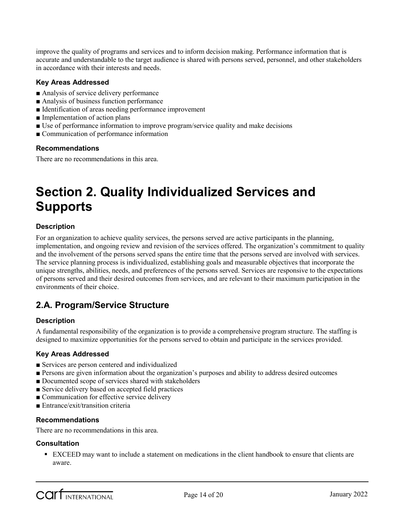improve the quality of programs and services and to inform decision making. Performance information that is accurate and understandable to the target audience is shared with persons served, personnel, and other stakeholders in accordance with their interests and needs.

#### **Key Areas Addressed**

- Analysis of service delivery performance
- Analysis of business function performance
- Identification of areas needing performance improvement
- Implementation of action plans
- Use of performance information to improve program/service quality and make decisions
- Communication of performance information

#### **Recommendations**

There are no recommendations in this area.

## **Section 2. Quality Individualized Services and Supports**

#### **Description**

For an organization to achieve quality services, the persons served are active participants in the planning, implementation, and ongoing review and revision of the services offered. The organization's commitment to quality and the involvement of the persons served spans the entire time that the persons served are involved with services. The service planning process is individualized, establishing goals and measurable objectives that incorporate the unique strengths, abilities, needs, and preferences of the persons served. Services are responsive to the expectations of persons served and their desired outcomes from services, and are relevant to their maximum participation in the environments of their choice.

### **2.A. Program/Service Structure**

#### **Description**

A fundamental responsibility of the organization is to provide a comprehensive program structure. The staffing is designed to maximize opportunities for the persons served to obtain and participate in the services provided.

#### **Key Areas Addressed**

- Services are person centered and individualized
- Persons are given information about the organization's purposes and ability to address desired outcomes
- Documented scope of services shared with stakeholders
- Service delivery based on accepted field practices
- Communication for effective service delivery
- Entrance/exit/transition criteria

#### **Recommendations**

There are no recommendations in this area.

#### **Consultation**

 EXCEED may want to include a statement on medications in the client handbook to ensure that clients are aware.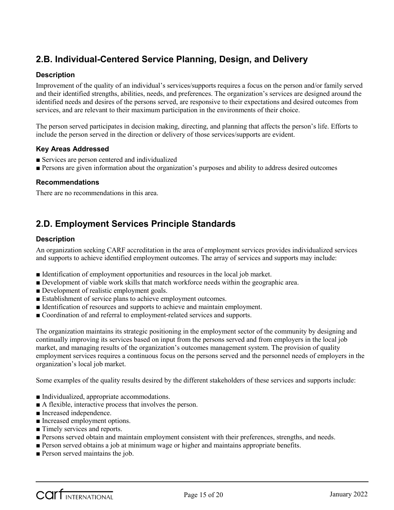### **2.B. Individual-Centered Service Planning, Design, and Delivery**

#### **Description**

Improvement of the quality of an individual's services/supports requires a focus on the person and/or family served and their identified strengths, abilities, needs, and preferences. The organization's services are designed around the identified needs and desires of the persons served, are responsive to their expectations and desired outcomes from services, and are relevant to their maximum participation in the environments of their choice.

The person served participates in decision making, directing, and planning that affects the person's life. Efforts to include the person served in the direction or delivery of those services/supports are evident.

#### **Key Areas Addressed**

- Services are person centered and individualized
- Persons are given information about the organization's purposes and ability to address desired outcomes

#### **Recommendations**

There are no recommendations in this area.

### **2.D. Employment Services Principle Standards**

#### **Description**

An organization seeking CARF accreditation in the area of employment services provides individualized services and supports to achieve identified employment outcomes. The array of services and supports may include:

- Identification of employment opportunities and resources in the local job market.
- Development of viable work skills that match workforce needs within the geographic area.
- Development of realistic employment goals.
- Establishment of service plans to achieve employment outcomes.
- Identification of resources and supports to achieve and maintain employment.
- Coordination of and referral to employment-related services and supports.

The organization maintains its strategic positioning in the employment sector of the community by designing and continually improving its services based on input from the persons served and from employers in the local job market, and managing results of the organization's outcomes management system. The provision of quality employment services requires a continuous focus on the persons served and the personnel needs of employers in the organization's local job market.

Some examples of the quality results desired by the different stakeholders of these services and supports include:

- Individualized, appropriate accommodations.
- A flexible, interactive process that involves the person.
- Increased independence.
- Increased employment options.
- Timely services and reports.
- **Persons served obtain and maintain employment consistent with their preferences, strengths, and needs.**
- Person served obtains a job at minimum wage or higher and maintains appropriate benefits.
- Person served maintains the job.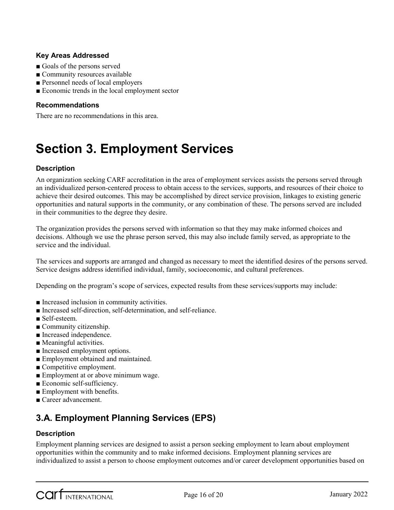#### **Key Areas Addressed**

- Goals of the persons served
- Community resources available
- Personnel needs of local employers
- Economic trends in the local employment sector

#### **Recommendations**

There are no recommendations in this area.

## **Section 3. Employment Services**

#### **Description**

An organization seeking CARF accreditation in the area of employment services assists the persons served through an individualized person-centered process to obtain access to the services, supports, and resources of their choice to achieve their desired outcomes. This may be accomplished by direct service provision, linkages to existing generic opportunities and natural supports in the community, or any combination of these. The persons served are included in their communities to the degree they desire.

The organization provides the persons served with information so that they may make informed choices and decisions. Although we use the phrase person served, this may also include family served, as appropriate to the service and the individual.

The services and supports are arranged and changed as necessary to meet the identified desires of the persons served. Service designs address identified individual, family, socioeconomic, and cultural preferences.

Depending on the program's scope of services, expected results from these services/supports may include:

- Increased inclusion in community activities.
- Increased self-direction, self-determination, and self-reliance.
- Self-esteem.
- Community citizenship.
- Increased independence.
- Meaningful activities.
- Increased employment options.
- Employment obtained and maintained.
- Competitive employment.
- Employment at or above minimum wage.
- Economic self-sufficiency.
- Employment with benefits.
- Career advancement.

### **3.A. Employment Planning Services (EPS)**

#### **Description**

Employment planning services are designed to assist a person seeking employment to learn about employment opportunities within the community and to make informed decisions. Employment planning services are individualized to assist a person to choose employment outcomes and/or career development opportunities based on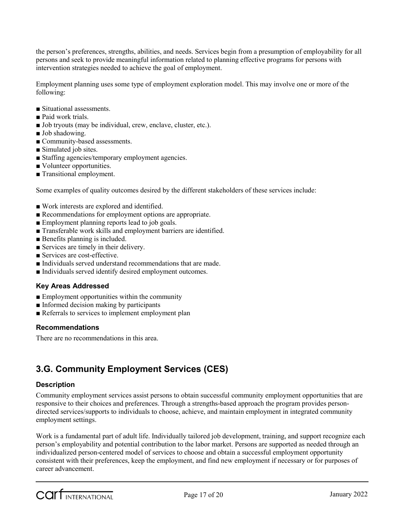the person's preferences, strengths, abilities, and needs. Services begin from a presumption of employability for all persons and seek to provide meaningful information related to planning effective programs for persons with intervention strategies needed to achieve the goal of employment.

Employment planning uses some type of employment exploration model. This may involve one or more of the following:

- Situational assessments.
- Paid work trials.
- Job tryouts (may be individual, crew, enclave, cluster, etc.).
- Job shadowing.
- Community-based assessments.
- Simulated job sites.
- Staffing agencies/temporary employment agencies.
- Volunteer opportunities.
- Transitional employment.

Some examples of quality outcomes desired by the different stakeholders of these services include:

- Work interests are explored and identified.
- Recommendations for employment options are appropriate.
- Employment planning reports lead to job goals.
- Transferable work skills and employment barriers are identified.
- Benefits planning is included.
- Services are timely in their delivery.
- Services are cost-effective.
- Individuals served understand recommendations that are made.
- Individuals served identify desired employment outcomes.

#### **Key Areas Addressed**

- Employment opportunities within the community
- Informed decision making by participants
- Referrals to services to implement employment plan

#### **Recommendations**

There are no recommendations in this area.

### **3.G. Community Employment Services (CES)**

#### **Description**

Community employment services assist persons to obtain successful community employment opportunities that are responsive to their choices and preferences. Through a strengths-based approach the program provides persondirected services/supports to individuals to choose, achieve, and maintain employment in integrated community employment settings.

Work is a fundamental part of adult life. Individually tailored job development, training, and support recognize each person's employability and potential contribution to the labor market. Persons are supported as needed through an individualized person-centered model of services to choose and obtain a successful employment opportunity consistent with their preferences, keep the employment, and find new employment if necessary or for purposes of career advancement.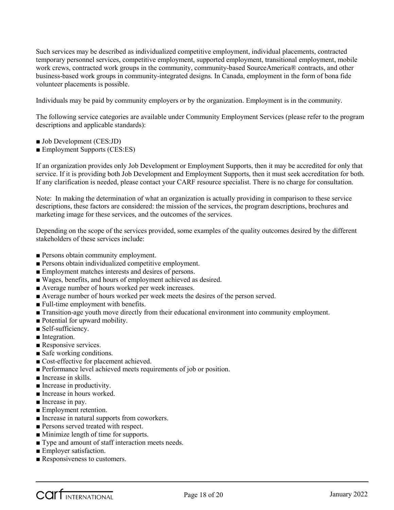Such services may be described as individualized competitive employment, individual placements, contracted temporary personnel services, competitive employment, supported employment, transitional employment, mobile work crews, contracted work groups in the community, community-based SourceAmerica® contracts, and other business-based work groups in community-integrated designs. In Canada, employment in the form of bona fide volunteer placements is possible.

Individuals may be paid by community employers or by the organization. Employment is in the community.

The following service categories are available under Community Employment Services (please refer to the program descriptions and applicable standards):

- Job Development (CES:JD)
- Employment Supports (CES:ES)

If an organization provides only Job Development or Employment Supports, then it may be accredited for only that service. If it is providing both Job Development and Employment Supports, then it must seek accreditation for both. If any clarification is needed, please contact your CARF resource specialist. There is no charge for consultation.

Note: In making the determination of what an organization is actually providing in comparison to these service descriptions, these factors are considered: the mission of the services, the program descriptions, brochures and marketing image for these services, and the outcomes of the services.

Depending on the scope of the services provided, some examples of the quality outcomes desired by the different stakeholders of these services include:

- Persons obtain community employment.
- Persons obtain individualized competitive employment.
- Employment matches interests and desires of persons.
- Wages, benefits, and hours of employment achieved as desired.
- Average number of hours worked per week increases.
- Average number of hours worked per week meets the desires of the person served.
- Full-time employment with benefits.
- Transition-age youth move directly from their educational environment into community employment.
- Potential for upward mobility.
- Self-sufficiency.
- Integration.
- Responsive services.
- Safe working conditions.
- Cost-effective for placement achieved.
- Performance level achieved meets requirements of job or position.
- Increase in skills.
- Increase in productivity.
- Increase in hours worked.
- Increase in pay.
- Employment retention.
- Increase in natural supports from coworkers.
- Persons served treated with respect.
- Minimize length of time for supports.
- Type and amount of staff interaction meets needs.
- Employer satisfaction.
- Responsiveness to customers.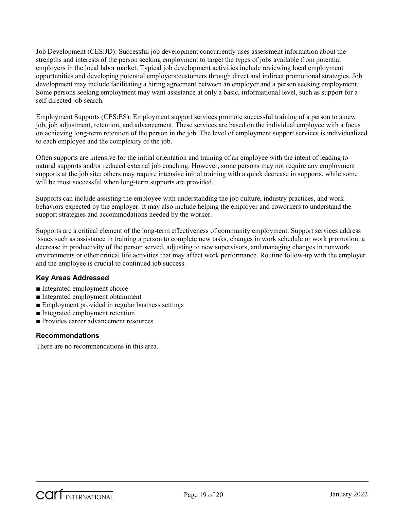Job Development (CES:JD): Successful job development concurrently uses assessment information about the strengths and interests of the person seeking employment to target the types of jobs available from potential employers in the local labor market. Typical job development activities include reviewing local employment opportunities and developing potential employers/customers through direct and indirect promotional strategies. Job development may include facilitating a hiring agreement between an employer and a person seeking employment. Some persons seeking employment may want assistance at only a basic, informational level, such as support for a self-directed job search.

Employment Supports (CES:ES): Employment support services promote successful training of a person to a new job, job adjustment, retention, and advancement. These services are based on the individual employee with a focus on achieving long-term retention of the person in the job. The level of employment support services is individualized to each employee and the complexity of the job.

Often supports are intensive for the initial orientation and training of an employee with the intent of leading to natural supports and/or reduced external job coaching. However, some persons may not require any employment supports at the job site; others may require intensive initial training with a quick decrease in supports, while some will be most successful when long-term supports are provided.

Supports can include assisting the employee with understanding the job culture, industry practices, and work behaviors expected by the employer. It may also include helping the employer and coworkers to understand the support strategies and accommodations needed by the worker.

Supports are a critical element of the long-term effectiveness of community employment. Support services address issues such as assistance in training a person to complete new tasks, changes in work schedule or work promotion, a decrease in productivity of the person served, adjusting to new supervisors, and managing changes in nonwork environments or other critical life activities that may affect work performance. Routine follow-up with the employer and the employee is crucial to continued job success.

#### **Key Areas Addressed**

- Integrated employment choice
- Integrated employment obtainment
- Employment provided in regular business settings
- Integrated employment retention
- Provides career advancement resources

#### **Recommendations**

There are no recommendations in this area.